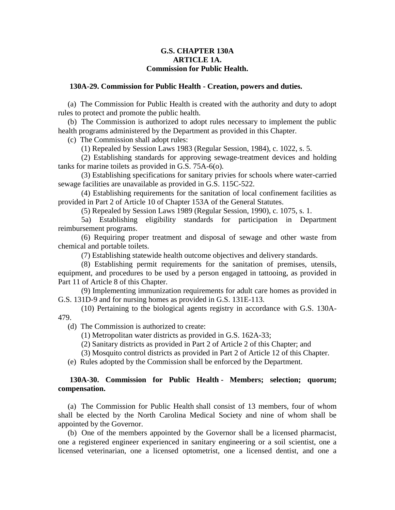# **G.S. CHAPTER 130A ARTICLE 1A. Commission for Public Health.**

### **130A-29. Commission for Public Health - Creation, powers and duties.**

(a) The Commission for Public Health is created with the authority and duty to adopt rules to protect and promote the public health.

(b) The Commission is authorized to adopt rules necessary to implement the public health programs administered by the Department as provided in this Chapter.

(c) The Commission shall adopt rules:

(1) Repealed by Session Laws 1983 (Regular Session, 1984), c. 1022, s. 5.

(2) Establishing standards for approving sewage-treatment devices and holding tanks for marine toilets as provided in G.S. 75A-6(o).

(3) Establishing specifications for sanitary privies for schools where water-carried sewage facilities are unavailable as provided in G.S. 115C-522.

(4) Establishing requirements for the sanitation of local confinement facilities as provided in Part 2 of Article 10 of Chapter 153A of the General Statutes.

(5) Repealed by Session Laws 1989 (Regular Session, 1990), c. 1075, s. 1.

5a) Establishing eligibility standards for participation in Department reimbursement programs.

(6) Requiring proper treatment and disposal of sewage and other waste from chemical and portable toilets.

(7) Establishing statewide health outcome objectives and delivery standards.

(8) Establishing permit requirements for the sanitation of premises, utensils, equipment, and procedures to be used by a person engaged in tattooing, as provided in Part 11 of Article 8 of this Chapter.

(9) Implementing immunization requirements for adult care homes as provided in G.S. 131D-9 and for nursing homes as provided in G.S. 131E-113.

(10) Pertaining to the biological agents registry in accordance with G.S. 130A-479.

(d) The Commission is authorized to create:

(1) Metropolitan water districts as provided in G.S. 162A-33;

(2) Sanitary districts as provided in Part 2 of Article 2 of this Chapter; and

(3) Mosquito control districts as provided in Part 2 of Article 12 of this Chapter.

(e) Rules adopted by the Commission shall be enforced by the Department.

# **130A-30. Commission for Public Health - Members; selection; quorum; compensation.**

(a) The Commission for Public Health shall consist of 13 members, four of whom shall be elected by the North Carolina Medical Society and nine of whom shall be appointed by the Governor.

(b) One of the members appointed by the Governor shall be a licensed pharmacist, one a registered engineer experienced in sanitary engineering or a soil scientist, one a licensed veterinarian, one a licensed optometrist, one a licensed dentist, and one a